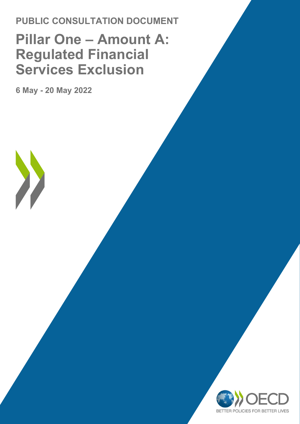# **PUBLIC CONSULTATION DOCUMENT Pillar One – Amount A: Regulated Financial Services Exclusion**

**6 May - 20 May 2022**

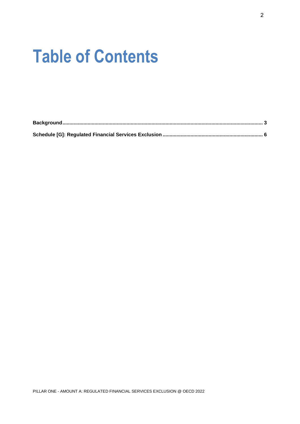# **Table of Contents**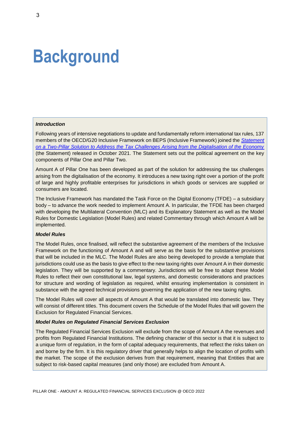# <span id="page-2-0"></span>**Background**

#### *Introduction*

Following years of intensive negotiations to update and fundamentally reform international tax rules, 137 members of the OECD/G20 Inclusive Framework on BEPS (Inclusive Framework) joined the *[Statement](https://www.oecd.org/tax/beps/statement-on-a-two-pillar-solution-to-address-the-tax-challenges-arising-from-the-digitalisation-of-the-economy-october-2021.htm)  on a [Two-Pillar Solution to Address the Tax Challenges Arising from the Digitalisation of the Economy](https://www.oecd.org/tax/beps/statement-on-a-two-pillar-solution-to-address-the-tax-challenges-arising-from-the-digitalisation-of-the-economy-october-2021.htm)* (the Statement) released in October 2021. The Statement sets out the political agreement on the key components of Pillar One and Pillar Two.

Amount A of Pillar One has been developed as part of the solution for addressing the tax challenges arising from the digitalisation of the economy. It introduces a new taxing right over a portion of the profit of large and highly profitable enterprises for jurisdictions in which goods or services are supplied or consumers are located.

The Inclusive Framework has mandated the Task Force on the Digital Economy (TFDE) – a subsidiary body – to advance the work needed to implement Amount A. In particular, the TFDE has been charged with developing the Multilateral Convention (MLC) and its Explanatory Statement as well as the Model Rules for Domestic Legislation (Model Rules) and related Commentary through which Amount A will be implemented.

#### *Model Rules*

The Model Rules, once finalised, will reflect the substantive agreement of the members of the Inclusive Framework on the functioning of Amount A and will serve as the basis for the substantive provisions that will be included in the MLC. The Model Rules are also being developed to provide a template that jurisdictions could use as the basis to give effect to the new taxing rights over Amount A in their domestic legislation. They will be supported by a commentary. Jurisdictions will be free to adapt these Model Rules to reflect their own constitutional law, legal systems, and domestic considerations and practices for structure and wording of legislation as required, whilst ensuring implementation is consistent in substance with the agreed technical provisions governing the application of the new taxing rights.

The Model Rules will cover all aspects of Amount A that would be translated into domestic law. They will consist of different titles. This document covers the Schedule of the Model Rules that will govern the Exclusion for Regulated Financial Services.

#### *Model Rules on Regulated Financial Services Exclusion*

The Regulated Financial Services Exclusion will exclude from the scope of Amount A the revenues and profits from Regulated Financial Institutions. The defining character of this sector is that it is subject to a unique form of regulation, in the form of capital adequacy requirements, that reflect the risks taken on and borne by the firm. It is this regulatory driver that generally helps to align the location of profits with the market. The scope of the exclusion derives from that requirement, meaning that Entities that are subject to risk-based capital measures (and only those) are excluded from Amount A.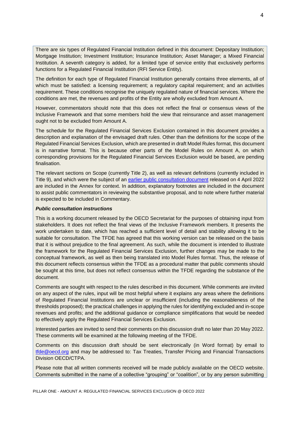There are six types of Regulated Financial Institution defined in this document: Depositary Institution; Mortgage Institution; Investment Institution; Insurance Institution; Asset Manager; a Mixed Financial Institution. A seventh category is added, for a limited type of service entity that exclusively performs functions for a Regulated Financial Institution (RFI Service Entity).

The definition for each type of Regulated Financial Institution generally contains three elements, all of which must be satisfied: a licensing requirement; a regulatory capital requirement; and an activities requirement. These conditions recognise the uniquely regulated nature of financial services. Where the conditions are met, the revenues and profits of the Entity are wholly excluded from Amount A.

However, commentators should note that this does not reflect the final or consensus views of the Inclusive Framework and that some members hold the view that reinsurance and asset management ought not to be excluded from Amount A.

The schedule for the Regulated Financial Services Exclusion contained in this document provides a description and explanation of the envisaged draft rules. Other than the definitions for the scope of the Regulated Financial Services Exclusion, which are presented in draft Model Rules format, this document is in narrative format. This is because other parts of the Model Rules on Amount A, on which corresponding provisions for the Regulated Financial Services Exclusion would be based, are pending finalisation.

The relevant sections on Scope (currently Title 2), as well as relevant definitions (currently included in Title 9), and which were the subject of an [earlier public consultation document](https://www.oecd.org/tax/beps/public-consultation-document-pillar-one-amount-a-scope.pdf) released on 4 April 2022 are included in the Annex for context. In addition, explanatory footnotes are included in the document to assist public commentators in reviewing the substantive proposal, and to note where further material is expected to be included in Commentary.

#### *Public consultation instructions*

This is a working document released by the OECD Secretariat for the purposes of obtaining input from stakeholders. It does not reflect the final views of the Inclusive Framework members. It presents the work undertaken to date, which has reached a sufficient level of detail and stability allowing it to be suitable for consultation. The TFDE has agreed that this working version can be released on the basis that it is without prejudice to the final agreement. As such, while the document is intended to illustrate the framework for the Regulated Financial Services Exclusion, further changes may be made to the conceptual framework, as well as then being translated into Model Rules format. Thus, the release of this document reflects consensus within the TFDE as a procedural matter that public comments should be sought at this time, but does not reflect consensus within the TFDE regarding the substance of the document.

Comments are sought with respect to the rules described in this document. While comments are invited on any aspect of the rules, input will be most helpful where it explains any areas where the definitions of Regulated Financial Institutions are unclear or insufficient (including the reasonableness of the thresholds proposed); the practical challenges in applying the rules for identifying excluded and in-scope revenues and profits; and the additional guidance or compliance simplifications that would be needed to effectively apply the Regulated Financial Services Exclusion.

Interested parties are invited to send their comments on this discussion draft no later than 20 May 2022. These comments will be examined at the following meeting of the TFDE.

Comments on this discussion draft should be sent electronically (in Word format) by email to [tfde@oecd.org](mailto:tfde@oecd.org) and may be addressed to: Tax Treaties, Transfer Pricing and Financial Transactions Division OECD/CTPA.

Please note that all written comments received will be made publicly available on the OECD website. Comments submitted in the name of a collective "grouping" or "coalition", or by any person submitting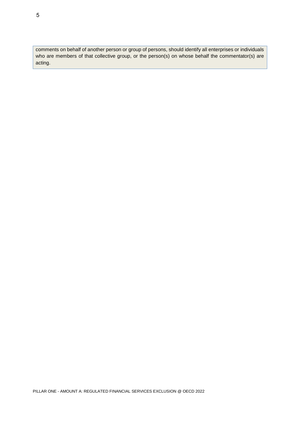comments on behalf of another person or group of persons, should identify all enterprises or individuals who are members of that collective group, or the person(s) on whose behalf the commentator(s) are acting.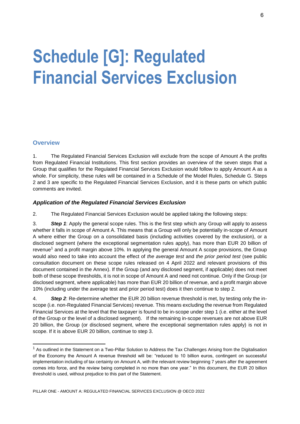# <span id="page-5-0"></span>**Schedule [G]: Regulated Financial Services Exclusion**

## **Overview**

1. The Regulated Financial Services Exclusion will exclude from the scope of Amount A the profits from Regulated Financial Institutions. This first section provides an overview of the seven steps that a Group that qualifies for the Regulated Financial Services Exclusion would follow to apply Amount A as a whole. For simplicity, these rules will be contained in a Schedule of the Model Rules, Schedule G. Steps 2 and 3 are specific to the Regulated Financial Services Exclusion, and it is these parts on which public comments are invited.

## *Application of the Regulated Financial Services Exclusion*

2. The Regulated Financial Services Exclusion would be applied taking the following steps:

3. *Step 1*: Apply the general scope rules. This is the first step which any Group will apply to assess whether it falls in scope of Amount A. This means that a Group will only be potentially in-scope of Amount A where either the Group on a consolidated basis (including activities covered by the exclusion), or a disclosed segment (where the exceptional segmentation rules apply), has more than EUR 20 billion of revenue<sup>1</sup> and a profit margin above 10%. In applying the general Amount A scope provisions, the Group would also need to take into account the effect of *the average test* and *the prior period test* (see public consultation document on these scope rules released on 4 April 2022 and relevant provisions of this document contained in the Annex). If the Group (and any disclosed segment, if applicable) does not meet both of these scope thresholds, it is not in scope of Amount A and need not continue. Only if the Group (or disclosed segment, where applicable) has more than EUR 20 billion of revenue, and a profit margin above 10% (including under the average test and prior period test) does it then continue to step 2.

4. *Step 2*: Re-determine whether the EUR 20 billion revenue threshold is met, by testing only the inscope (i.e. non-Regulated Financial Services) revenue. This means excluding the revenue from Regulated Financial Services at the level that the taxpayer is found to be in-scope under step 1 (i.e. either at the level of the Group or the level of a disclosed segment). If the remaining in-scope revenues are not above EUR 20 billion, the Group (or disclosed segment, where the exceptional segmentation rules apply) is not in scope. If it is above EUR 20 billion, continue to step 3.

<sup>&</sup>lt;sup>1</sup> As outlined in the Statement on a Two-Pillar Solution to Address the Tax Challenges Arising from the Digitalisation of the Economy the Amount A revenue threshold will be: "reduced to 10 billion euros, contingent on successful implementation including of tax certainty on Amount A, with the relevant review beginning 7 years after the agreement comes into force, and the review being completed in no more than one year." In this document, the EUR 20 billion threshold is used, without prejudice to this part of the Statement.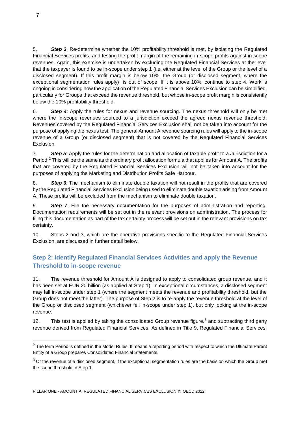5. *Step 3*: Re-determine whether the 10% profitability threshold is met, by isolating the Regulated Financial Services profits, and testing the profit margin of the remaining in-scope profits against in-scope revenues. Again, this exercise is undertaken by excluding the Regulated Financial Services at the level that the taxpayer is found to be in-scope under step 1 (i.e. either at the level of the Group or the level of a disclosed segment). If this profit margin is below 10%, the Group (or disclosed segment, where the exceptional segmentation rules apply) is out of scope. If it is above 10%, continue to step 4. Work is ongoing in considering how the application of the Regulated Financial Services Exclusion can be simplified, particularly for Groups that exceed the revenue threshold, but whose in-scope profit margin is consistently below the 10% profitability threshold.

6. *Step 4*: Apply the rules for nexus and revenue sourcing. The nexus threshold will only be met where the in-scope revenues sourced to a jurisdiction exceed the agreed nexus revenue threshold. Revenues covered by the Regulated Financial Services Exclusion shall not be taken into account for the purpose of applying the nexus test. The general Amount A revenue sourcing rules will apply to the in-scope revenue of a Group (or disclosed segment) that is not covered by the Regulated Financial Services Exclusion.

7. *Step 5*: Apply the rules for the determination and allocation of taxable profit to a Jurisdiction for a Period.<sup>2</sup> This will be the same as the ordinary profit allocation formula that applies for Amount A. The profits that are covered by the Regulated Financial Services Exclusion will not be taken into account for the purposes of applying the Marketing and Distribution Profits Safe Harbour.

8. *Step 6*: The mechanism to eliminate double taxation will not result in the profits that are covered by the Regulated Financial Services Exclusion being used to eliminate double taxation arising from Amount A. These profits will be excluded from the mechanism to eliminate double taxation.

9. *Step 7*: File the necessary documentation for the purposes of administration and reporting. Documentation requirements will be set out in the relevant provisions on administration. The process for filing this documentation as part of the tax certainty process will be set out in the relevant provisions on tax certainty.

10. Steps 2 and 3, which are the operative provisions specific to the Regulated Financial Services Exclusion, are discussed in further detail below.

# **Step 2: Identify Regulated Financial Services Activities and apply the Revenue Threshold to in-scope revenue**

11. The revenue threshold for Amount A is designed to apply to consolidated group revenue, and it has been set at EUR 20 billion (as applied at Step 1). In exceptional circumstances, a disclosed segment may fall in-scope under step 1 (where the segment meets the revenue and profitability threshold, but the Group does not meet the latter). The purpose of Step 2 is to re-apply the revenue threshold at the level of the Group or disclosed segment (whichever fell in-scope under step 1), but only looking at the in-scope revenue.

12. This test is applied by taking the consolidated Group revenue figure,<sup>3</sup> and subtracting third party revenue derived from Regulated Financial Services. As defined in Title 9, Regulated Financial Services,

 $\overline{a}$ 

 $2$  The term Period is defined in the Model Rules. It means a reporting period with respect to which the Ultimate Parent Entity of a Group prepares Consolidated Financial Statements.

 $3$  Or the revenue of a disclosed segment, if the exceptional segmentation rules are the basis on which the Group met the scope threshold in Step 1.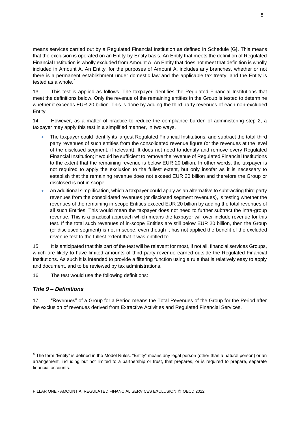means services carried out by a Regulated Financial Institution as defined in Schedule [G]. This means that the exclusion is operated on an Entity-by-Entity basis. An Entity that meets the definition of Regulated Financial Institution is wholly excluded from Amount A. An Entity that does not meet that definition is wholly included in Amount A. An Entity, for the purposes of Amount A, includes any branches, whether or not there is a permanent establishment under domestic law and the applicable tax treaty, and the Entity is tested as a whole. $4$ 

13. This test is applied as follows. The taxpayer identifies the Regulated Financial Institutions that meet the definitions below. Only the revenue of the remaining entities in the Group is tested to determine whether it exceeds EUR 20 billion. This is done by adding the third party revenues of each non-excluded Entity.

14. However, as a matter of practice to reduce the compliance burden of administering step 2, a taxpayer may apply this test in a simplified manner, in two ways.

- The taxpayer could identify its largest Regulated Financial Institutions, and subtract the total third party revenues of such entities from the consolidated revenue figure (or the revenues at the level of the disclosed segment, if relevant). It does not need to identify and remove every Regulated Financial Institution; it would be sufficient to remove the revenue of Regulated Financial Institutions to the extent that the remaining revenue is below EUR 20 billion. In other words, the taxpayer is not required to apply the exclusion to the fullest extent, but only insofar as it is necessary to establish that the remaining revenue does not exceed EUR 20 billion and therefore the Group or disclosed is not in scope.
- An additional simplification, which a taxpayer could apply as an alternative to subtracting third party revenues from the consolidated revenues (or disclosed segment revenues), is testing whether the revenues of the remaining in-scope Entities exceed EUR 20 billion by adding the total revenues of all such Entities. This would mean the taxpayer does not need to further subtract the intra-group revenue. This is a practical approach which means the taxpayer will over-include revenue for this test. If the total such revenues of in-scope Entities are still below EUR 20 billion, then the Group (or disclosed segment) is not in scope, even though it has not applied the benefit of the excluded revenue test to the fullest extent that it was entitled to.

15. It is anticipated that this part of the test will be relevant for most, if not all, financial services Groups, which are likely to have limited amounts of third party revenue earned outside the Regulated Financial Institutions. As such it is intended to provide a filtering function using a rule that is relatively easy to apply and document, and to be reviewed by tax administrations.

16. The test would use the following definitions:

### *Title 9 – Definitions*

 $\overline{a}$ 

17. "Revenues" of a Group for a Period means the Total Revenues of the Group for the Period after the exclusion of revenues derived from Extractive Activities and Regulated Financial Services.

<sup>&</sup>lt;sup>4</sup> The term "Entity" is defined in the Model Rules. "Entity" means any legal person (other than a natural person) or an arrangement, including but not limited to a partnership or trust, that prepares, or is required to prepare, separate financial accounts.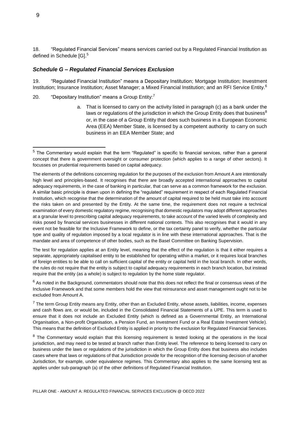18. "Regulated Financial Services" means services carried out by a Regulated Financial Institution as defined in Schedule [G]. 5

#### *Schedule G – Regulated Financial Services Exclusion*

19. "Regulated Financial Institution" means a Depositary Institution; Mortgage Institution; Investment Institution; Insurance Institution; Asset Manager; a Mixed Financial Institution; and an RFI Service Entity.<sup>6</sup>

- 20. "Depositary Institution" means a Group  $Entity$ .<sup>7</sup>
	- a. That is licensed to carry on the activity listed in paragraph (c) as a bank under the laws or regulations of the jurisdiction in which the Group Entity does that business<sup>8</sup> or, in the case of a Group Entity that does such business in a European Economic Area (EEA) Member State, is licensed by a competent authority to carry on such business in an EEA Member State; and

The test for regulation applies at an Entity level, meaning that the effect of the regulation is that it either requires a separate, appropriately capitalised entity to be established for operating within a market, or it requires local branches of foreign entities to be able to call on sufficient capital of the entity or capital held in the local branch. In other words, the rules do not require that the entity is subject to capital adequacy requirements in each branch location, but instead require that the entity (as a whole) is subject to regulation by the home state regulator.

 $6$  As noted in the Background, commentators should note that this does not reflect the final or consensus views of the Inclusive Framework and that some members hold the view that reinsurance and asset management ought not to be excluded from Amount A.

<sup>5</sup> The Commentary would explain that the term "Regulated" is specific to financial services, rather than a general concept that there is government oversight or consumer protection (which applies to a range of other sectors). It focusses on prudential requirements based on capital adequacy.

The elements of the definitions concerning regulation for the purposes of the exclusion from Amount A are intentionally high level and principles-based. It recognises that there are broadly accepted international approaches to capital adequacy requirements, in the case of banking in particular, that can serve as a common framework for the exclusion. A similar basic principle is drawn upon in defining the "regulated" requirement in respect of each Regulated Financial Institution, which recognise that the determination of the amount of capital required to be held must take into account the risks taken on and presented by the Entity. At the same time, the requirement does not require a technical examination of every domestic regulatory regime, recognising that domestic regulators may adopt different approaches at a granular level to prescribing capital adequacy requirements, to take account of the varied levels of complexity and risks posed by financial services businesses in different national contexts. This also recognises that it would in any event not be feasible for the Inclusive Framework to define, or the tax certainty panel to verify, whether the particular type and quality of regulation imposed by a local regulator is in line with these international approaches. That is the mandate and area of competence of other bodies, such as the Basel Committee on Banking Supervision.

 $7$  The term Group Entity means any Entity, other than an Excluded Entity, whose assets, liabilities, income, expenses and cash flows are, or would be, included in the Consolidated Financial Statements of a UPE. This term is used to ensure that it does not include an Excluded Entity (which is defined as a Governmental Entity, an International Organisation, a Non-profit Organisation, a Pension Fund, an Investment Fund or a Real Estate Investment Vehicle). This means that the definition of Excluded Entity is applied in priority to the exclusion for Regulated Financial Services.

 $8$  The Commentary would explain that this licensing requirement is tested looking at the operations in the local jurisdiction, and may need to be tested at branch rather than Entity level. The reference to being licensed to carry on business under the laws or regulations of the jurisdiction in which the Group Entity does that business also includes cases where that laws or regulations of that Jurisdiction provide for the recognition of the licensing decision of another Jurisdiction, for example, under equivalence regimes. This Commentary also applies to the same licensing test as applies under sub-paragraph (a) of the other definitions of Regulated Financial Institution.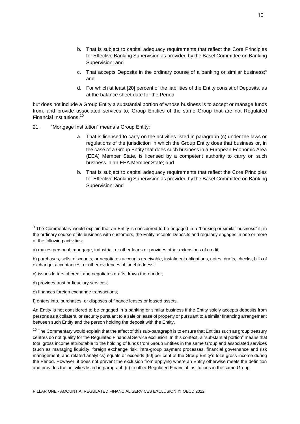- c. That accepts Deposits in the ordinary course of a banking or similar business; 9 and
- d. For which at least [20] percent of the liabilities of the Entity consist of Deposits, as at the balance sheet date for the Period

but does not include a Group Entity a substantial portion of whose business is to accept or manage funds from, and provide associated services to, Group Entities of the same Group that are not Regulated Financial Institutions. 10

- 21. "Mortgage Institution" means a Group Entity:
	- a. That is licensed to carry on the activities listed in paragraph (c) under the laws or regulations of the jurisdiction in which the Group Entity does that business or, in the case of a Group Entity that does such business in a European Economic Area (EEA) Member State, is licensed by a competent authority to carry on such business in an EEA Member State; and
	- b. That is subject to capital adequacy requirements that reflect the Core Principles for Effective Banking Supervision as provided by the Basel Committee on Banking Supervision; and

- c) issues letters of credit and negotiates drafts drawn thereunder;
- d) provides trust or fiduciary services;

 $9$  The Commentary would explain that an Entity is considered to be engaged in a "banking or similar business" if, in the ordinary course of its business with customers, the Entity accepts Deposits and regularly engages in one or more of the following activities:

a) makes personal, mortgage, industrial, or other loans or provides other extensions of credit;

b) purchases, sells, discounts, or negotiates accounts receivable, instalment obligations, notes, drafts, checks, bills of exchange, acceptances, or other evidences of indebtedness;

e) finances foreign exchange transactions;

f) enters into, purchases, or disposes of finance leases or leased assets.

An Entity is not considered to be engaged in a banking or similar business if the Entity solely accepts deposits from persons as a collateral or security pursuant to a sale or lease of property or pursuant to a similar financing arrangement between such Entity and the person holding the deposit with the Entity.

 $10$  The Commentary would explain that the effect of this sub-paragraph is to ensure that Entities such as group treasury centres do not qualify for the Regulated Financial Service exclusion. In this context, a "substantial portion" means that total gross income attributable to the holding of funds from Group Entities in the same Group and associated services (such as managing liquidity, foreign exchange risk, intra-group payment processes, financial governance and risk management, and related analytics) equals or exceeds [50] per cent of the Group Entity's total gross income during the Period. However, it does not prevent the exclusion from applying where an Entity otherwise meets the definition and provides the activities listed in paragraph (c) to other Regulated Financial Institutions in the same Group.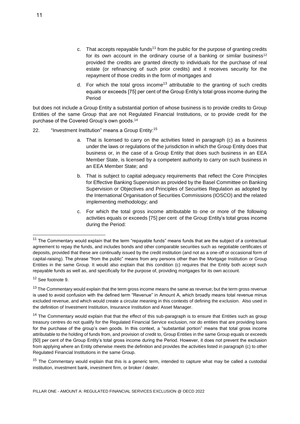- c. That accepts repayable funds<sup>11</sup> from the public for the purpose of granting credits for its own account in the ordinary course of a banking or similar business<sup>12</sup> provided the credits are granted directly to individuals for the purchase of real estate (or refinancing of such prior credits) and it receives security for the repayment of those credits in the form of mortgages and
- d. For which the total gross income<sup>13</sup> attributable to the granting of such credits equals or exceeds [75] per cent of the Group Entity's total gross income during the Period

but does not include a Group Entity a substantial portion of whose business is to provide credits to Group Entities of the same Group that are not Regulated Financial Institutions, or to provide credit for the purchase of the Covered Group's own goods. 14

- 22. "Investment Institution" means a Group Entity:<sup>15</sup>
	- a. That is licensed to carry on the activities listed in paragraph (c) as a business under the laws or regulations of the jurisdiction in which the Group Entity does that business or, in the case of a Group Entity that does such business in an EEA Member State, is licensed by a competent authority to carry on such business in an EEA Member State; and
	- b. That is subject to capital adequacy requirements that reflect the Core Principles for Effective Banking Supervision as provided by the Basel Committee on Banking Supervision or Objectives and Principles of Securities Regulation as adopted by the International Organisation of Securities Commissions (IOSCO) and the related implementing methodology; and
	- c. For which the total gross income attributable to one or more of the following activities equals or exceeds [75] per cent of the Group Entity's total gross income during the Period:

<sup>12</sup> See footnote 9.

 $11$  The Commentary would explain that the term "repayable funds" means funds that are the subject of a contractual agreement to repay the funds, and includes bonds and other comparable securities such as negotiable certificates of deposits, provided that these are continually issued by the credit institution (and not as a one-off or occasional form of capital-raising). The phrase "from the public" means from any persons other than the Mortgage Institution or Group Entities in the same Group. It would also explain that this condition (c) requires that the Entity both accept such repayable funds as well as, and specifically for the purpose of, providing mortgages for its own account.

<sup>&</sup>lt;sup>13</sup> The Commentary would explain that the term gross income means the same as revenue; but the term gross revenue is used to avoid confusion with the defined term "Revenue" in Amount A, which broadly means total revenue minus excluded revenue, and which would create a circular meaning in this contexts of defining the exclusion. Also used in the definition of Investment Institution, Insurance Institution and Asset Manager.

<sup>&</sup>lt;sup>14</sup> The Commentary would explain that that the effect of this sub-paragraph is to ensure that Entities such as group treasury centres do not qualify for the Regulated Financial Service exclusion, nor do entities that are providing loans for the purchase of the group's own goods. In this context, a "substantial portion" means that total gross income attributable to the holding of funds from, and provision of credit to, Group Entities in the same Group equals or exceeds [50] per cent of the Group Entity's total gross income during the Period. However, it does not prevent the exclusion from applying where an Entity otherwise meets the definition and provides the activities listed in paragraph (c) to other Regulated Financial Institutions in the same Group.

<sup>&</sup>lt;sup>15</sup> The Commentary would explain that this is a generic term, intended to capture what may be called a custodial institution, investment bank, investment firm, or broker / dealer.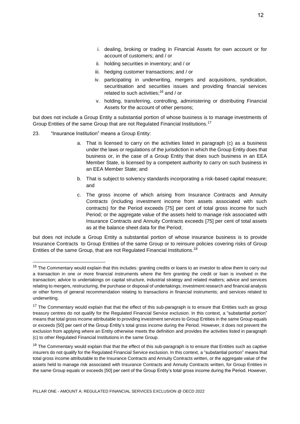- i. dealing, broking or trading in Financial Assets for own account or for account of customers; and / or
- ii. holding securities in inventory; and / or
- iii. hedging customer transactions; and / or
- iv. participating in underwriting, mergers and acquisitions, syndication, securitisation and securities issues and providing financial services related to such activities;<sup>16</sup> and / or
- v. holding, transferring, controlling, administering or distributing Financial Assets for the account of other persons;

but does not include a Group Entity a substantial portion of whose business is to manage investments of Group Entities of the same Group that are not Regulated Financial Institutions.<sup>17</sup>

23. "Insurance Institution" means a Group Entity:

- a. That is licensed to carry on the activities listed in paragraph (c) as a business under the laws or regulations of the jurisdiction in which the Group Entity does that business or, in the case of a Group Entity that does such business in an EEA Member State, is licensed by a competent authority to carry on such business in an EEA Member State; and
- b. That is subject to solvency standards incorporating a risk-based capital measure; and
- c. The gross income of which arising from Insurance Contracts and Annuity Contracts (including investment income from assets associated with such contracts) for the Period exceeds [75] per cent of total gross income for such Period; or the aggregate value of the assets held to manage risk associated with Insurance Contracts and Annuity Contracts exceeds [75] per cent of total assets as at the balance sheet data for the Period;

but does not include a Group Entity a substantial portion of whose insurance business is to provide Insurance Contracts to Group Entities of the same Group or to reinsure policies covering risks of Group Entities of the same Group, that are not Regulated Financial Institutions.<sup>18</sup>

 $16$  The Commentary would explain that this includes: granting credits or loans to an investor to allow them to carry out a transaction in one or more financial instruments where the firm granting the credit or loan is involved in the transaction; advice to undertakings on capital structure, industrial strategy and related matters; advice and services relating to mergers, restructuring, the purchase or disposal of undertakings; investment research and financial analysis or other forms of general recommendation relating to transactions in financial instruments; and services related to underwriting.

<sup>&</sup>lt;sup>17</sup> The Commentary would explain that that the effect of this sub-paragraph is to ensure that Entities such as group treasury centres do not qualify for the Regulated Financial Service exclusion. In this context, a "substantial portion" means that total gross income attributable to providing investment services to Group Entities in the same Group equals or exceeds [50] per cent of the Group Entity's total gross income during the Period. However, it does not prevent the exclusion from applying where an Entity otherwise meets the definition and provides the activities listed in paragraph (c) to other Regulated Financial Institutions in the same Group.

 $18$  The Commentary would explain that that the effect of this sub-paragraph is to ensure that Entities such as captive insurers do not qualify for the Regulated Financial Service exclusion. In this context, a "substantial portion" means that total gross income attributable to the Insurance Contracts and Annuity Contracts written, or the aggregate value of the assets held to manage risk associated with Insurance Contracts and Annuity Contracts written, for Group Entities in the same Group equals or exceeds [50] per cent of the Group Entity's total gross income during the Period. However,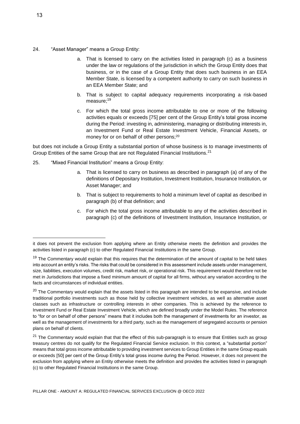- 24. "Asset Manager" means a Group Entity:
	- a. That is licensed to carry on the activities listed in paragraph (c) as a business under the law or regulations of the jurisdiction in which the Group Entity does that business, or in the case of a Group Entity that does such business in an EEA Member State, is licensed by a competent authority to carry on such business in an EEA Member State; and
	- b. That is subject to capital adequacy requirements incorporating a risk-based measure:<sup>19</sup>
	- c. For which the total gross income attributable to one or more of the following activities equals or exceeds [75] per cent of the Group Entity's total gross income during the Period: investing in, administering, managing or distributing interests in, an Investment Fund or Real Estate Investment Vehicle, Financial Assets, or money for or on behalf of other persons; 20

but does not include a Group Entity a substantial portion of whose business is to manage investments of Group Entities of the same Group that are not Regulated Financial Institutions.<sup>21</sup>

- 25. "Mixed Financial Institution" means a Group Entity:
	- a. That is licensed to carry on business as described in paragraph (a) of any of the definitions of Depositary Institution, Investment Institution, Insurance Institution, or Asset Manager; and
	- b. That is subject to requirements to hold a minimum level of capital as described in paragraph (b) of that definition; and
	- c. For which the total gross income attributable to any of the activities described in paragraph (c) of the definitions of Investment Institution, Insurance Institution, or

it does not prevent the exclusion from applying where an Entity otherwise meets the definition and provides the activities listed in paragraph (c) to other Regulated Financial Institutions in the same Group.

<sup>&</sup>lt;sup>19</sup> The Commentary would explain that this requires that the determination of the amount of capital to be held takes into account an entity's risks. The risks that could be considered in this assessment include assets under management, size, liabilities, execution volumes, credit risk, market risk, or operational risk. This requirement would therefore not be met in Jurisdictions that impose a fixed minimum amount of capital for all firms, without any variation according to the facts and circumstances of individual entities.

<sup>&</sup>lt;sup>20</sup> The Commentary would explain that the assets listed in this paragraph are intended to be expansive, and include traditional portfolio investments such as those held by collective investment vehicles, as well as alternative asset classes such as infrastructure or controlling interests in other companies. This is achieved by the reference to Investment Fund or Real Estate Investment Vehicle, which are defined broadly under the Model Rules. The reference to "for or on behalf of other persons" means that it includes both the management of investments for an investor, as well as the management of investments for a third party, such as the management of segregated accounts or pension plans on behalf of clients.

<sup>&</sup>lt;sup>21</sup> The Commentary would explain that that the effect of this sub-paragraph is to ensure that Entities such as group treasury centres do not qualify for the Regulated Financial Service exclusion. In this context, a "substantial portion" means that total gross income attributable to providing investment services to Group Entities in the same Group equals or exceeds [50] per cent of the Group Entity's total gross income during the Period. However, it does not prevent the exclusion from applying where an Entity otherwise meets the definition and provides the activities listed in paragraph (c) to other Regulated Financial Institutions in the same Group.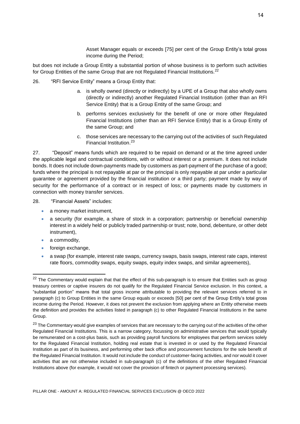Asset Manager equals or exceeds [75] per cent of the Group Entity's total gross income during the Period;

but does not include a Group Entity a substantial portion of whose business is to perform such activities for Group Entities of the same Group that are not Regulated Financial Institutions.<sup>22</sup>

- 26. "RFI Service Entity" means a Group Entity that:
	- a. is wholly owned (directly or indirectly) by a UPE of a Group that also wholly owns (directly or indirectly) another Regulated Financial Institution (other than an RFI Service Entity) that is a Group Entity of the same Group; and
	- b. performs services exclusively for the benefit of one or more other Regulated Financial Institutions (other than an RFI Service Entity) that is a Group Entity of the same Group; and
	- c. those services are necessary to the carrying out of the activities of such Regulated Financial Institution. 23

27. "Deposit" means funds which are required to be repaid on demand or at the time agreed under the applicable legal and contractual conditions, with or without interest or a premium. It does not include bonds. It does not include down-payments made by customers as part-payment of the purchase of a good; funds where the principal is not repayable at par or the principal is only repayable at par under a particular guarantee or agreement provided by the financial institution or a third party; payment made by way of security for the performance of a contract or in respect of loss; or payments made by customers in connection with money transfer services.

28. "Financial Assets" includes:

- a money market instrument,
- a security (for example, a share of stock in a corporation; partnership or beneficial ownership interest in a widely held or publicly traded partnership or trust; note, bond, debenture, or other debt instrument),
- a commodity.

- foreign exchange,
- a swap (for example, interest rate swaps, currency swaps, basis swaps, interest rate caps, interest rate floors, commodity swaps, equity swaps, equity index swaps, and similar agreements),

<sup>&</sup>lt;sup>22</sup> The Commentary would explain that that the effect of this sub-paragraph is to ensure that Entities such as group treasury centres or captive insurers do not qualify for the Regulated Financial Service exclusion. In this context, a "substantial portion" means that total gross income attributable to providing the relevant services referred to in paragraph (c) to Group Entities in the same Group equals or exceeds [50] per cent of the Group Entity's total gross income during the Period. However, it does not prevent the exclusion from applying where an Entity otherwise meets the definition and provides the activities listed in paragraph (c) to other Regulated Financial Institutions in the same Group.

<sup>&</sup>lt;sup>23</sup> The Commentary would give examples of services that are necessary to the carrying out of the activities of the other Regulated Financial Institutions. This is a narrow category, focussing on administrative services that would typically be remunerated on a cost-plus basis, such as providing payroll functions for employees that perform services solely for the Regulated Financial Institution, holding real estate that is invested in or used by the Regulated Financial Institution as part of its business, and performing other back office and procurement functions for the sole benefit of the Regulated Financial Institution. It would not include the conduct of customer-facing activities, and nor would it cover activities that are not otherwise included in sub-paragraph (c) of the definitions of the other Regulated Financial Institutions above (for example, it would not cover the provision of fintech or payment processing services).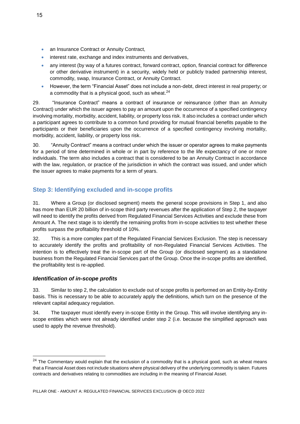- an Insurance Contract or Annuity Contract,
- interest rate, exchange and index instruments and derivatives,
- any interest (by way of a futures contract, forward contract, option, financial contract for difference or other derivative instrument) in a security, widely held or publicly traded partnership interest, commodity, swap, Insurance Contract, or Annuity Contract.
- However, the term "Financial Asset" does not include a non-debt, direct interest in real property; or a commodity that is a physical good, such as wheat. $^{24}$

29. "Insurance Contract" means a contract of insurance or reinsurance (other than an Annuity Contract) under which the issuer agrees to pay an amount upon the occurrence of a specified contingency involving mortality, morbidity, accident, liability, or property loss risk. It also includes a contract under which a participant agrees to contribute to a common fund providing for mutual financial benefits payable to the participants or their beneficiaries upon the occurrence of a specified contingency involving mortality, morbidity, accident, liability, or property loss risk.

30. "Annuity Contract" means a contract under which the issuer or operator agrees to make payments for a period of time determined in whole or in part by reference to the life expectancy of one or more individuals. The term also includes a contract that is considered to be an Annuity Contract in accordance with the law, regulation, or practice of the jurisdiction in which the contract was issued, and under which the issuer agrees to make payments for a term of years.

# **Step 3: Identifying excluded and in-scope profits**

31. Where a Group (or disclosed segment) meets the general scope provisions in Step 1, and also has more than EUR 20 billion of in-scope third party revenues after the application of Step 2, the taxpayer will need to identify the profits derived from Regulated Financial Services Activities and exclude these from Amount A. The next stage is to identify the remaining profits from in-scope activities to test whether these profits surpass the profitability threshold of 10%.

32. This is a more complex part of the Regulated Financial Services Exclusion. The step is necessary to accurately identify the profits and profitability of non-Regulated Financial Services Activities. The intention is to effectively treat the in-scope part of the Group (or disclosed segment) as a standalone business from the Regulated Financial Services part of the Group. Once the in-scope profits are identified, the profitability test is re-applied.

### *Identification of in-scope profits*

33. Similar to step 2, the calculation to exclude out of scope profits is performed on an Entity-by-Entity basis. This is necessary to be able to accurately apply the definitions, which turn on the presence of the relevant capital adequacy regulation.

34. The taxpayer must identify every in-scope Entity in the Group. This will involve identifying any inscope entities which were not already identified under step 2 (i.e. because the simplified approach was used to apply the revenue threshold).

<sup>&</sup>lt;sup>24</sup> The Commentary would explain that the exclusion of a commodity that is a physical good, such as wheat means that a Financial Asset does not include situations where physical delivery of the underlying commodity is taken. Futures contracts and derivatives relating to commodities are including in the meaning of Financial Asset.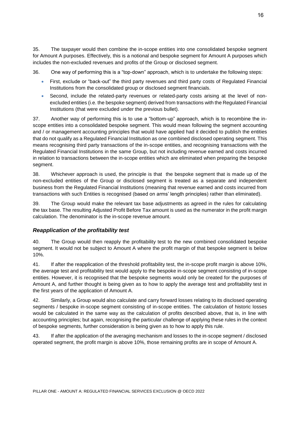35. The taxpayer would then combine the in-scope entities into one consolidated bespoke segment for Amount A purposes. Effectively, this is a notional and bespoke segment for Amount A purposes which includes the non-excluded revenues and profits of the Group or disclosed segment.

36. One way of performing this is a "top-down" approach, which is to undertake the following steps:

- First, exclude or "back-out" the third party revenues and third party costs of Regulated Financial Institutions from the consolidated group or disclosed segment financials.
- Second, include the related-party revenues or related-party costs arising at the level of nonexcluded entities (i.e. the bespoke segment) derived from transactions with the Regulated Financial Institutions (that were excluded under the previous bullet).

37. Another way of performing this is to use a "bottom-up" approach, which is to recombine the inscope entities into a consolidated bespoke segment. This would mean following the segment accounting and / or management accounting principles that would have applied had it decided to publish the entities that do not qualify as a Regulated Financial Institution as one combined disclosed operating segment. This means recognising third party transactions of the in-scope entities, and recognising transactions with the Regulated Financial Institutions in the same Group, but not including revenue earned and costs incurred in relation to transactions between the in-scope entities which are eliminated when preparing the bespoke segment.

38. Whichever approach is used, the principle is that the bespoke segment that is made up of the non-excluded entities of the Group or disclosed segment is treated as a separate and independent business from the Regulated Financial Institutions (meaning that revenue earned and costs incurred from transactions with such Entities is recognised (based on arms' length principles) rather than eliminated).

39. The Group would make the relevant tax base adjustments as agreed in the rules for calculating the tax base. The resulting Adjusted Profit Before Tax amount is used as the numerator in the profit margin calculation. The denominator is the in-scope revenue amount.

### *Reapplication of the profitability test*

40. The Group would then reapply the profitability test to the new combined consolidated bespoke segment. It would not be subject to Amount A where the profit margin of that bespoke segment is below 10%.

41. If after the reapplication of the threshold profitability test, the in-scope profit margin is above 10%, the average test and profitability test would apply to the bespoke in-scope segment consisting of in-scope entities. However, it is recognised that the bespoke segments would only be created for the purposes of Amount A, and further thought is being given as to how to apply the average test and profitability test in the first years of the application of Amount A.

42. Similarly, a Group would also calculate and carry forward losses relating to its disclosed operating segments / bespoke in-scope segment consisting of in-scope entities. The calculation of historic losses would be calculated in the same way as the calculation of profits described above, that is, in line with accounting principles; but again, recognising the particular challenge of applying these rules in the context of bespoke segments, further consideration is being given as to how to apply this rule.

43. If after the application of the averaging mechanism and losses to the in-scope segment / disclosed operated segment, the profit margin is above 10%, those remaining profits are in scope of Amount A.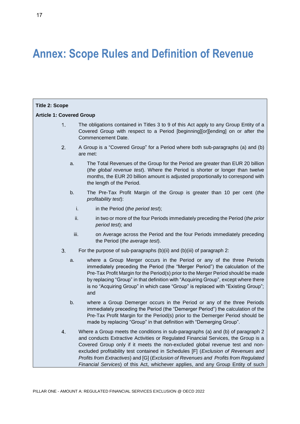# **Annex: Scope Rules and Definition of Revenue**

| <b>Title 2: Scope</b>           |      |                                                                                                                                                                                                                                                                                                                                                                                                                                                                                                                       |  |
|---------------------------------|------|-----------------------------------------------------------------------------------------------------------------------------------------------------------------------------------------------------------------------------------------------------------------------------------------------------------------------------------------------------------------------------------------------------------------------------------------------------------------------------------------------------------------------|--|
| <b>Article 1: Covered Group</b> |      |                                                                                                                                                                                                                                                                                                                                                                                                                                                                                                                       |  |
| 1                               |      | The obligations contained in Titles 3 to 9 of this Act apply to any Group Entity of a<br>Covered Group with respect to a Period [beginning][or][ending] on or after the<br>Commencement Date.                                                                                                                                                                                                                                                                                                                         |  |
| 2.                              |      | A Group is a "Covered Group" for a Period where both sub-paragraphs (a) and (b)<br>are met:                                                                                                                                                                                                                                                                                                                                                                                                                           |  |
|                                 | a.   | The Total Revenues of the Group for the Period are greater than EUR 20 billion<br>(the global revenue test). Where the Period is shorter or longer than twelve<br>months, the EUR 20 billion amount is adjusted proportionally to correspond with<br>the length of the Period.                                                                                                                                                                                                                                        |  |
|                                 | b.   | The Pre-Tax Profit Margin of the Group is greater than 10 per cent (the<br>profitability test):                                                                                                                                                                                                                                                                                                                                                                                                                       |  |
|                                 | i.   | in the Period (the period test);                                                                                                                                                                                                                                                                                                                                                                                                                                                                                      |  |
|                                 | ii.  | in two or more of the four Periods immediately preceding the Period (the prior<br>period test); and                                                                                                                                                                                                                                                                                                                                                                                                                   |  |
|                                 | iii. | on Average across the Period and the four Periods immediately preceding<br>the Period (the average test).                                                                                                                                                                                                                                                                                                                                                                                                             |  |
| 3.                              |      | For the purpose of sub-paragraphs $(b)(ii)$ and $(b)(iii)$ of paragraph 2:                                                                                                                                                                                                                                                                                                                                                                                                                                            |  |
|                                 | a.   | where a Group Merger occurs in the Period or any of the three Periods<br>immediately preceding the Period (the "Merger Period") the calculation of the<br>Pre-Tax Profit Margin for the Period(s) prior to the Merger Period should be made<br>by replacing "Group" in that definition with "Acquiring Group", except where there<br>is no "Acquiring Group" in which case "Group" is replaced with "Existing Group";<br>and                                                                                          |  |
|                                 | b.   | where a Group Demerger occurs in the Period or any of the three Periods<br>immediately preceding the Period (the "Demerger Period") the calculation of the<br>Pre-Tax Profit Margin for the Period(s) prior to the Demerger Period should be<br>made by replacing "Group" in that definition with "Demerging Group".                                                                                                                                                                                                  |  |
| $\overline{4}$                  |      | Where a Group meets the conditions in sub-paragraphs (a) and (b) of paragraph 2<br>and conducts Extractive Activities or Regulated Financial Services, the Group is a<br>Covered Group only if it meets the non-excluded global revenue test and non-<br>excluded profitability test contained in Schedules [F] (Exclusion of Revenues and<br>Profits from Extractives) and [G] (Exclusion of Revenues and Profits from Regulated<br>Financial Services) of this Act, whichever applies, and any Group Entity of such |  |